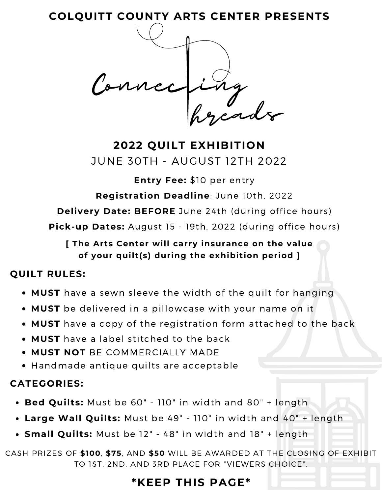**COLQUITT COUNTY ARTS CENTER PRESENTS**

hreads Connecting

**2022 QUILT EXHIBITION** JUNE 30TH - AUGUST 12TH 2022

**Entry Fee:** \$10 per entry

**Registration Deadline**: June 10th, 2022

**Delivery Date: BEFORE** June 24th (during office hours)

**Pick-up Dates:** August 15 - 19th, 2022 (during office hours)

### **[ The Arts Center will carry insurance on the value of your quilt(s) during the exhibition period ]**

### **QUILT RULES:**

- **MUST** have a sewn sleeve the width of the quilt for hanging
- **MUST** be delivered in a pillowcase with your name on it
- **MUST** have a copy of the registration form attached to the back
- **MUST** have a label stitched to the back
- **MUST NOT** BE COMMERCIALLY MADE
- Handmade antique quilts are acceptable

## **CATEGORIES:**

- **Bed Quilts:** Must be 60" 110" in width and 80" + length
- **Large Wall Quilts:** Must be 49" 110" in width and 40" + length
- **Small Quilts:** Must be 12" 48" in width and 18" + length

CASH PRIZES OF **\$100**, **\$75**, AND **\$50** WILL BE AWARDED AT THE CLOSING OF EXHIBIT TO 1ST, 2ND, AND 3RD PLACE FOR "VIEWERS CHOICE".

# **\*KEEP THIS PAGE\***